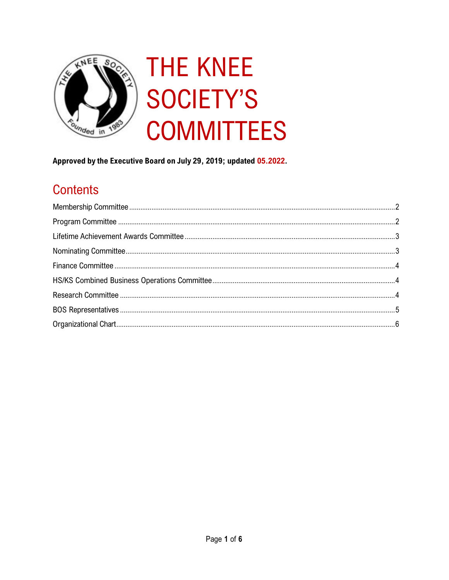

# **THE KNEE SOCIETY'S COMMITTEES**

Approved by the Executive Board on July 29, 2019; updated 05.2022.

# **Contents**

<span id="page-0-0"></span>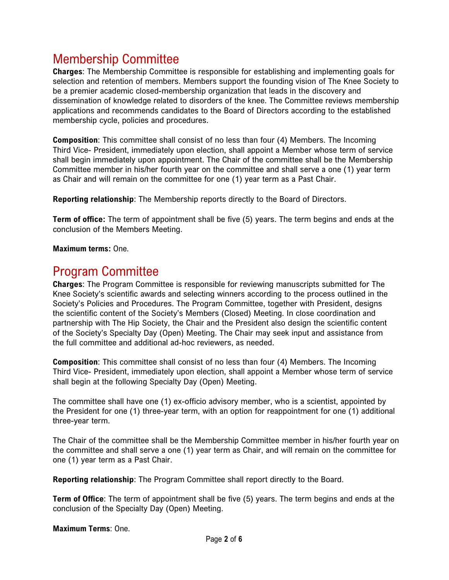## Membership Committee

**Charges**: The Membership Committee is responsible for establishing and implementing goals for selection and retention of members. Members support the founding vision of The Knee Society to be a premier academic closed-membership organization that leads in the discovery and dissemination of knowledge related to disorders of the knee. The Committee reviews membership applications and recommends candidates to the Board of Directors according to the established membership cycle, policies and procedures.

**Composition**: This committee shall consist of no less than four (4) Members. The Incoming Third Vice- President, immediately upon election, shall appoint a Member whose term of service shall begin immediately upon appointment. The Chair of the committee shall be the Membership Committee member in his/her fourth year on the committee and shall serve a one (1) year term as Chair and will remain on the committee for one (1) year term as a Past Chair.

**Reporting relationship**: The Membership reports directly to the Board of Directors.

**Term of office:** The term of appointment shall be five (5) years. The term begins and ends at the conclusion of the Members Meeting.

**Maximum terms:** One.

#### <span id="page-1-0"></span>Program Committee

**Charges**: The Program Committee is responsible for reviewing manuscripts submitted for The Knee Society's scientific awards and selecting winners according to the process outlined in the Society's Policies and Procedures. The Program Committee, together with President, designs the scientific content of the Society's Members (Closed) Meeting. In close coordination and partnership with The Hip Society, the Chair and the President also design the scientific content of the Society's Specialty Day (Open) Meeting. The Chair may seek input and assistance from the full committee and additional ad-hoc reviewers, as needed.

**Composition**: This committee shall consist of no less than four (4) Members. The Incoming Third Vice- President, immediately upon election, shall appoint a Member whose term of service shall begin at the following Specialty Day (Open) Meeting.

The committee shall have one (1) ex-officio advisory member, who is a scientist, appointed by the President for one (1) three-year term, with an option for reappointment for one (1) additional three-year term.

The Chair of the committee shall be the Membership Committee member in his/her fourth year on the committee and shall serve a one (1) year term as Chair, and will remain on the committee for one (1) year term as a Past Chair.

**Reporting relationship**: The Program Committee shall report directly to the Board.

**Term of Office**: The term of appointment shall be five (5) years. The term begins and ends at the conclusion of the Specialty Day (Open) Meeting.

**Maximum Terms**: One.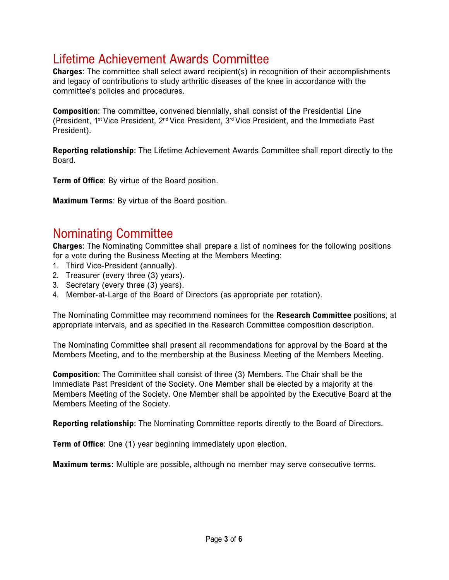## <span id="page-2-0"></span>Lifetime Achievement Awards Committee

**Charges**: The committee shall select award recipient(s) in recognition of their accomplishments and legacy of contributions to study arthritic diseases of the knee in accordance with the committee's policies and procedures.

**Composition**: The committee, convened biennially, shall consist of the Presidential Line (President, 1st Vice President, 2nd Vice President, 3rd Vice President, and the Immediate Past President).

**Reporting relationship**: The Lifetime Achievement Awards Committee shall report directly to the Board.

**Term of Office**: By virtue of the Board position.

**Maximum Terms**: By virtue of the Board position.

#### <span id="page-2-1"></span>Nominating Committee

**Charges**: The Nominating Committee shall prepare a list of nominees for the following positions for a vote during the Business Meeting at the Members Meeting:

- 1. Third Vice-President (annually).
- 2. Treasurer (every three (3) years).
- 3. Secretary (every three (3) years).
- 4. Member-at-Large of the Board of Directors (as appropriate per rotation).

The Nominating Committee may recommend nominees for the **Research Committee** positions, at appropriate intervals, and as specified in the Research Committee composition description.

The Nominating Committee shall present all recommendations for approval by the Board at the Members Meeting, and to the membership at the Business Meeting of the Members Meeting.

**Composition**: The Committee shall consist of three (3) Members. The Chair shall be the Immediate Past President of the Society. One Member shall be elected by a majority at the Members Meeting of the Society. One Member shall be appointed by the Executive Board at the Members Meeting of the Society.

**Reporting relationship**: The Nominating Committee reports directly to the Board of Directors.

**Term of Office**: One (1) year beginning immediately upon election.

<span id="page-2-2"></span>**Maximum terms:** Multiple are possible, although no member may serve consecutive terms.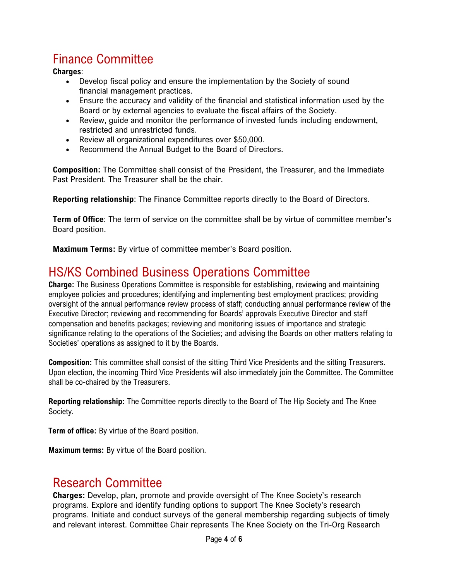# Finance Committee

#### **Charges**:

- Develop fiscal policy and ensure the implementation by the Society of sound financial management practices.
- Ensure the accuracy and validity of the financial and statistical information used by the Board or by external agencies to evaluate the fiscal affairs of the Society.
- Review, guide and monitor the performance of invested funds including endowment, restricted and unrestricted funds.
- Review all organizational expenditures over \$50,000.
- Recommend the Annual Budget to the Board of Directors.

**Composition:** The Committee shall consist of the President, the Treasurer, and the Immediate Past President. The Treasurer shall be the chair.

**Reporting relationship**: The Finance Committee reports directly to the Board of Directors.

**Term of Office**: The term of service on the committee shall be by virtue of committee member's Board position.

**Maximum Terms:** By virtue of committee member's Board position.

## <span id="page-3-0"></span>HS/KS Combined Business Operations Committee

**Charge:** The Business Operations Committee is responsible for establishing, reviewing and maintaining employee policies and procedures; identifying and implementing best employment practices; providing oversight of the annual performance review process of staff; conducting annual performance review of the Executive Director; reviewing and recommending for Boards' approvals Executive Director and staff compensation and benefits packages; reviewing and monitoring issues of importance and strategic significance relating to the operations of the Societies; and advising the Boards on other matters relating to Societies' operations as assigned to it by the Boards.

**Composition:** This committee shall consist of the sitting Third Vice Presidents and the sitting Treasurers. Upon election, the incoming Third Vice Presidents will also immediately join the Committee. The Committee shall be co-chaired by the Treasurers.

**Reporting relationship:** The Committee reports directly to the Board of The Hip Society and The Knee Society.

**Term of office:** By virtue of the Board position.

**Maximum terms:** By virtue of the Board position.

#### <span id="page-3-1"></span>Research Committee

**Charges:** Develop, plan, promote and provide oversight of The Knee Society's research programs. Explore and identify funding options to support The Knee Society's research programs. Initiate and conduct surveys of the general membership regarding subjects of timely and relevant interest. Committee Chair represents The Knee Society on the Tri-Org Research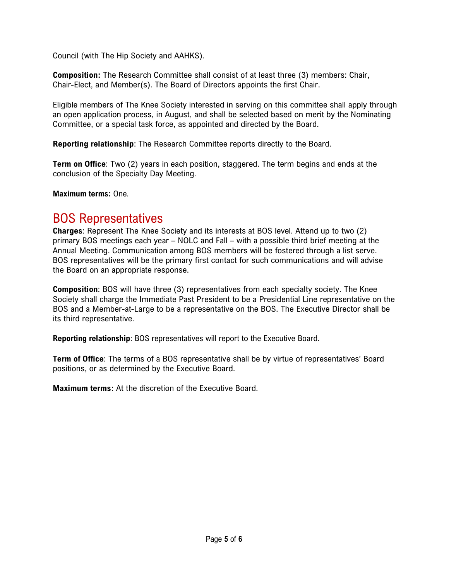Council (with The Hip Society and AAHKS).

**Composition:** The Research Committee shall consist of at least three (3) members: Chair, Chair-Elect, and Member(s). The Board of Directors appoints the first Chair.

Eligible members of The Knee Society interested in serving on this committee shall apply through an open application process, in August, and shall be selected based on merit by the Nominating Committee, or a special task force, as appointed and directed by the Board.

**Reporting relationship**: The Research Committee reports directly to the Board.

**Term on Office**: Two (2) years in each position, staggered. The term begins and ends at the conclusion of the Specialty Day Meeting.

**Maximum terms:** One.

#### <span id="page-4-0"></span>BOS Representatives

**Charges**: Represent The Knee Society and its interests at BOS level. Attend up to two (2) primary BOS meetings each year – NOLC and Fall – with a possible third brief meeting at the Annual Meeting. Communication among BOS members will be fostered through a list serve. BOS representatives will be the primary first contact for such communications and will advise the Board on an appropriate response.

**Composition**: BOS will have three (3) representatives from each specialty society. The Knee Society shall charge the Immediate Past President to be a Presidential Line representative on the BOS and a Member-at-Large to be a representative on the BOS. The Executive Director shall be its third representative.

**Reporting relationship**: BOS representatives will report to the Executive Board.

**Term of Office**: The terms of a BOS representative shall be by virtue of representatives' Board positions, or as determined by the Executive Board.

**Maximum terms:** At the discretion of the Executive Board.